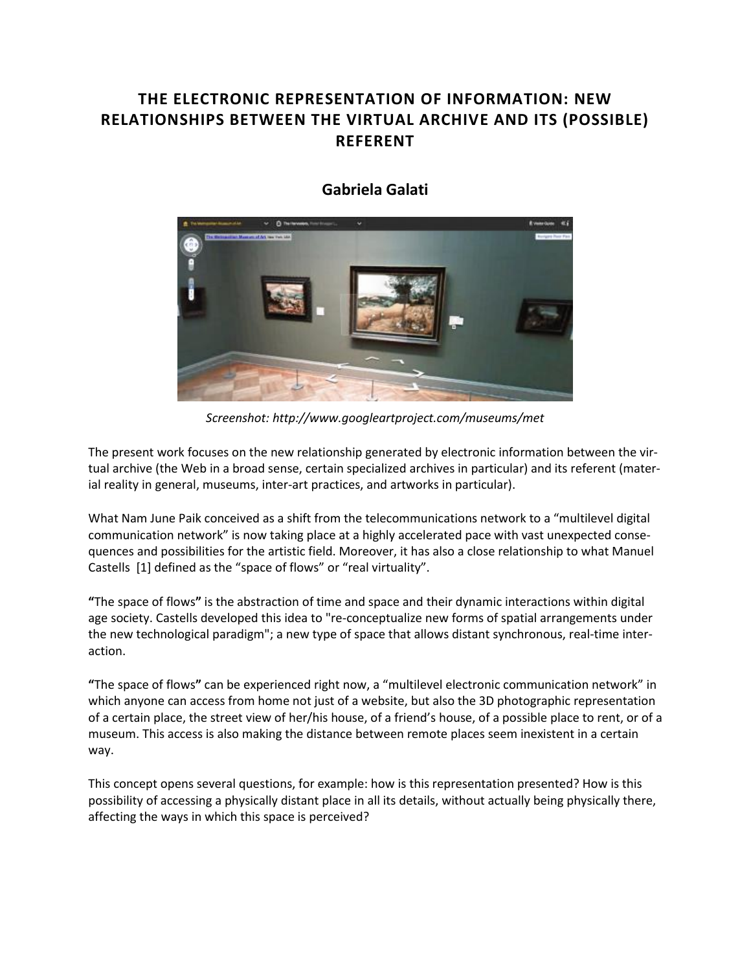## **THE ELECTRONIC REPRESENTATION OF INFORMATION: NEW RELATIONSHIPS BETWEEN THE VIRTUAL ARCHIVE AND ITS (POSSIBLE) REFERENT**



## **[Gabriela Galati](http://isea2011.sabanciuniv.edu/-527.html)**

*Screenshot: http://www.googleartproject.com/museums/met*

The present work focuses on the new relationship generated by electronic information between the virtual archive (the Web in a broad sense, certain specialized archives in particular) and its referent (material reality in general, museums, inter-art practices, and artworks in particular).

What Nam June Paik conceived as a shift from the telecommunications network to a "multilevel digital communication network" is now taking place at a highly accelerated pace with vast unexpected consequences and possibilities for the artistic field. Moreover, it has also a close relationship to what Manuel Castells [1] defined as the "space of flows" or "real virtuality".

**"**The space of flows**"** is the abstraction of time and space and their dynamic interactions within digital age society. Castells developed this idea to "re-conceptualize new forms of spatial arrangements under the new technological paradigm"; a new type of space that allows distant synchronous, real-time interaction.

**"**The space of flows**"** can be experienced right now, a "multilevel electronic communication network" in which anyone can access from home not just of a website, but also the 3D photographic representation of a certain place, the street view of her/his house, of a friend's house, of a possible place to rent, or of a museum. This access is also making the distance between remote places seem inexistent in a certain way.

This concept opens several questions, for example: how is this representation presented? How is this possibility of accessing a physically distant place in all its details, without actually being physically there, affecting the ways in which this space is perceived?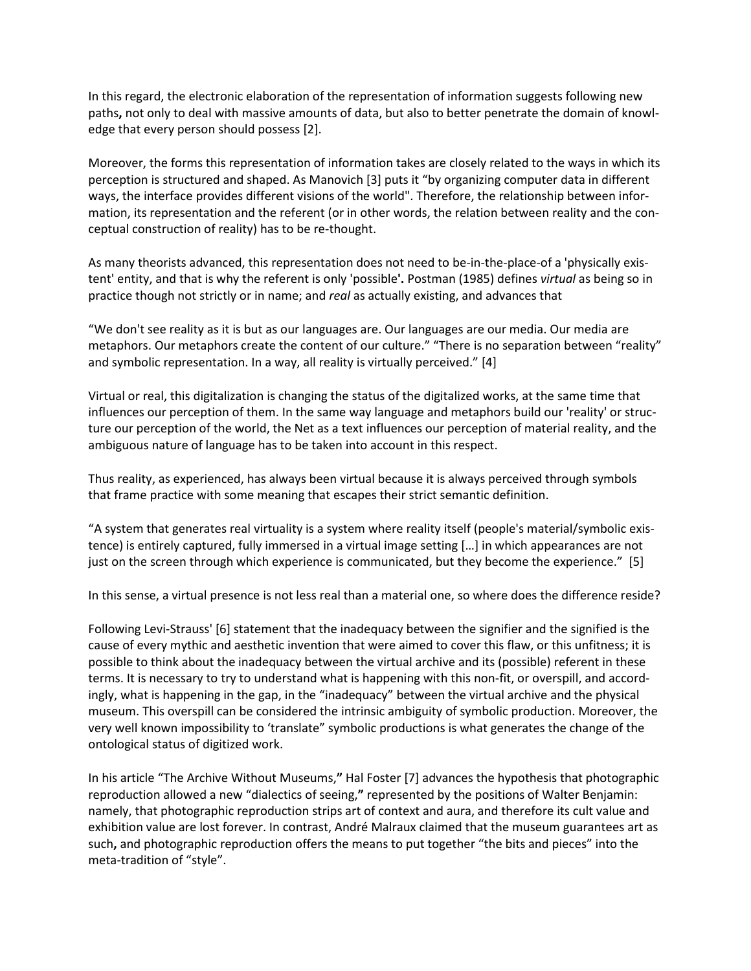In this regard, the electronic elaboration of the representation of information suggests following new paths**,** not only to deal with massive amounts of data, but also to better penetrate the domain of knowledge that every person should possess [2].

Moreover, the forms this representation of information takes are closely related to the ways in which its perception is structured and shaped. As Manovich [3] puts it "by organizing computer data in different ways, the interface provides different visions of the world". Therefore, the relationship between information, its representation and the referent (or in other words, the relation between reality and the conceptual construction of reality) has to be re-thought.

As many theorists advanced, this representation does not need to be-in-the-place-of a 'physically existent' entity, and that is why the referent is only 'possible**'.** Postman (1985) defines *virtual* as being so in practice though not strictly or in name; and *real* as actually existing, and advances that

"We don't see reality as it is but as our languages are. Our languages are our media. Our media are metaphors. Our metaphors create the content of our culture." "There is no separation between "reality" and symbolic representation. In a way, all reality is virtually perceived." [4]

Virtual or real, this digitalization is changing the status of the digitalized works, at the same time that influences our perception of them. In the same way language and metaphors build our 'reality' or structure our perception of the world, the Net as a text influences our perception of material reality, and the ambiguous nature of language has to be taken into account in this respect.

Thus reality, as experienced, has always been virtual because it is always perceived through symbols that frame practice with some meaning that escapes their strict semantic definition.

"A system that generates real virtuality is a system where reality itself (people's material/symbolic existence) is entirely captured, fully immersed in a virtual image setting […] in which appearances are not just on the screen through which experience is communicated, but they become the experience." [5]

In this sense, a virtual presence is not less real than a material one, so where does the difference reside?

Following Levi-Strauss' [6] statement that the inadequacy between the signifier and the signified is the cause of every mythic and aesthetic invention that were aimed to cover this flaw, or this unfitness; it is possible to think about the inadequacy between the virtual archive and its (possible) referent in these terms. It is necessary to try to understand what is happening with this non-fit, or overspill, and accordingly, what is happening in the gap, in the "inadequacy" between the virtual archive and the physical museum. This overspill can be considered the intrinsic ambiguity of symbolic production. Moreover, the very well known impossibility to 'translate" symbolic productions is what generates the change of the ontological status of digitized work.

In his article "The Archive Without Museums,**"** Hal Foster [7] advances the hypothesis that photographic reproduction allowed a new "dialectics of seeing,**"** represented by the positions of Walter Benjamin: namely, that photographic reproduction strips art of context and aura, and therefore its cult value and exhibition value are lost forever. In contrast, André Malraux claimed that the museum guarantees art as such**,** and photographic reproduction offers the means to put together "the bits and pieces" into the meta-tradition of "style".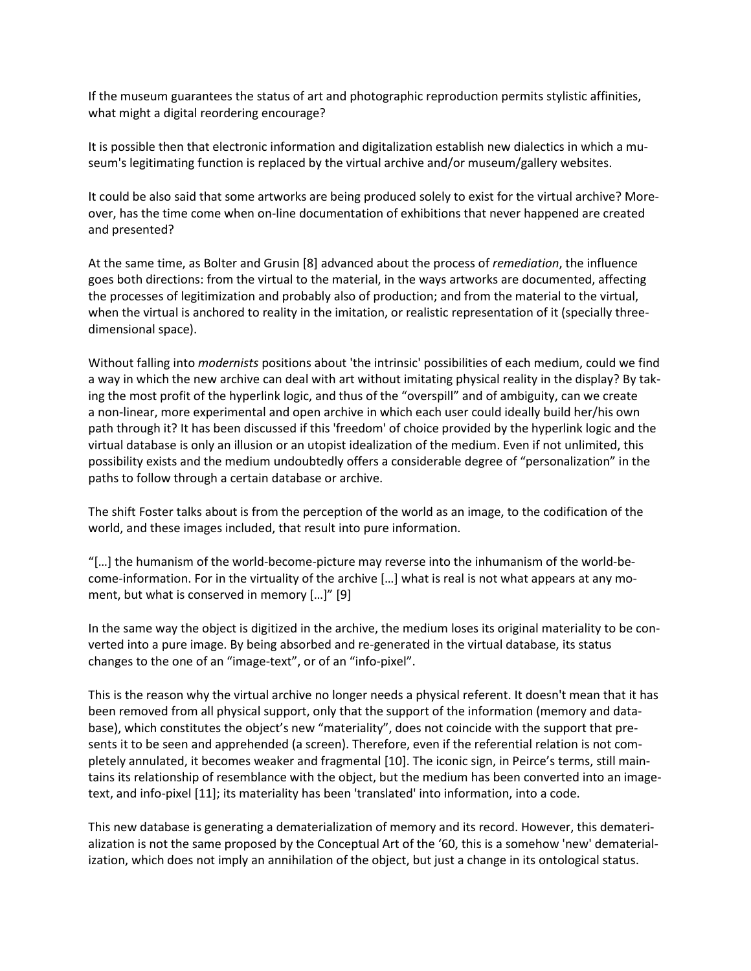If the museum guarantees the status of art and photographic reproduction permits stylistic affinities, what might a digital reordering encourage?

It is possible then that electronic information and digitalization establish new dialectics in which a museum's legitimating function is replaced by the virtual archive and/or museum/gallery websites.

It could be also said that some artworks are being produced solely to exist for the virtual archive? Moreover, has the time come when on-line documentation of exhibitions that never happened are created and presented?

At the same time, as Bolter and Grusin [8] advanced about the process of *remediation*, the influence goes both directions: from the virtual to the material, in the ways artworks are documented, affecting the processes of legitimization and probably also of production; and from the material to the virtual, when the virtual is anchored to reality in the imitation, or realistic representation of it (specially threedimensional space).

Without falling into *modernists* positions about 'the intrinsic' possibilities of each medium, could we find a way in which the new archive can deal with art without imitating physical reality in the display? By taking the most profit of the hyperlink logic, and thus of the "overspill" and of ambiguity, can we create a non-linear, more experimental and open archive in which each user could ideally build her/his own path through it? It has been discussed if this 'freedom' of choice provided by the hyperlink logic and the virtual database is only an illusion or an utopist idealization of the medium. Even if not unlimited, this possibility exists and the medium undoubtedly offers a considerable degree of "personalization" in the paths to follow through a certain database or archive.

The shift Foster talks about is from the perception of the world as an image, to the codification of the world, and these images included, that result into pure information.

"[…] the humanism of the world-become-picture may reverse into the inhumanism of the world-become-information. For in the virtuality of the archive […] what is real is not what appears at any moment, but what is conserved in memory […]" [9]

In the same way the object is digitized in the archive, the medium loses its original materiality to be converted into a pure image. By being absorbed and re-generated in the virtual database, its status changes to the one of an "image-text", or of an "info-pixel".

This is the reason why the virtual archive no longer needs a physical referent. It doesn't mean that it has been removed from all physical support, only that the support of the information (memory and database), which constitutes the object's new "materiality", does not coincide with the support that presents it to be seen and apprehended (a screen). Therefore, even if the referential relation is not completely annulated, it becomes weaker and fragmental [10]. The iconic sign, in Peirce's terms, still maintains its relationship of resemblance with the object, but the medium has been converted into an imagetext, and info-pixel [11]; its materiality has been 'translated' into information, into a code.

This new database is generating a dematerialization of memory and its record. However, this dematerialization is not the same proposed by the Conceptual Art of the '60, this is a somehow 'new' dematerialization, which does not imply an annihilation of the object, but just a change in its ontological status.